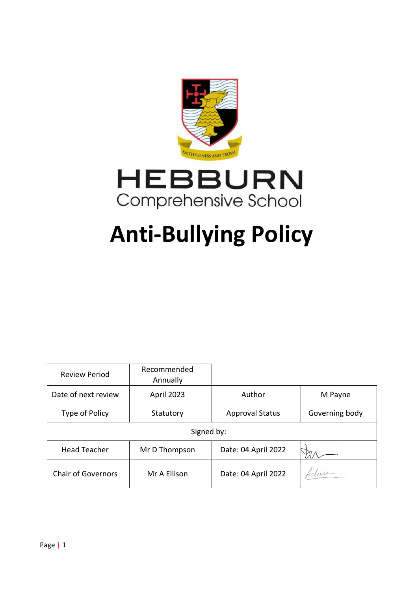



# **Anti-Bullying Policy**

| <b>Review Period</b>      | Recommended<br>Annually |                        |                |
|---------------------------|-------------------------|------------------------|----------------|
| Date of next review       | April 2023              | Author                 | M Payne        |
| Type of Policy            | Statutory               | <b>Approval Status</b> | Governing body |
| Signed by:                |                         |                        |                |
| <b>Head Teacher</b>       | Mr D Thompson           | Date: 04 April 2022    |                |
| <b>Chair of Governors</b> | Mr A Ellison            | Date: 04 April 2022    | Adam           |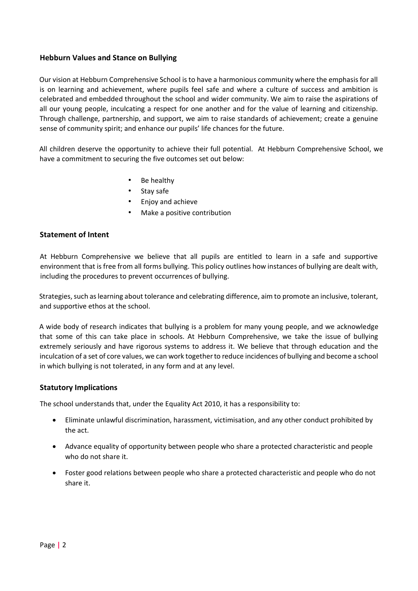# **Hebburn Values and Stance on Bullying**

Our vision at Hebburn Comprehensive School is to have a harmonious community where the emphasis for all is on learning and achievement, where pupils feel safe and where a culture of success and ambition is celebrated and embedded throughout the school and wider community. We aim to raise the aspirations of all our young people, inculcating a respect for one another and for the value of learning and citizenship. Through challenge, partnership, and support, we aim to raise standards of achievement; create a genuine sense of community spirit; and enhance our pupils' life chances for the future.

All children deserve the opportunity to achieve their full potential. At Hebburn Comprehensive School, we have a commitment to securing the five outcomes set out below:

- Be healthy
- Stay safe
- Enjoy and achieve
- Make a positive contribution

## **Statement of Intent**

At Hebburn Comprehensive we believe that all pupils are entitled to learn in a safe and supportive environment that is free from all forms bullying. This policy outlines how instances of bullying are dealt with, including the procedures to prevent occurrences of bullying.

Strategies, such as learning about tolerance and celebrating difference, aim to promote an inclusive, tolerant, and supportive ethos at the school.

A wide body of research indicates that bullying is a problem for many young people, and we acknowledge that some of this can take place in schools. At Hebburn Comprehensive, we take the issue of bullying extremely seriously and have rigorous systems to address it. We believe that through education and the inculcation of a set of core values, we can work together to reduce incidences of bullying and become a school in which bullying is not tolerated, in any form and at any level.

## **Statutory Implications**

The school understands that, under the Equality Act 2010, it has a responsibility to:

- Eliminate unlawful discrimination, harassment, victimisation, and any other conduct prohibited by the act.
- Advance equality of opportunity between people who share a protected characteristic and people who do not share it.
- Foster good relations between people who share a protected characteristic and people who do not share it.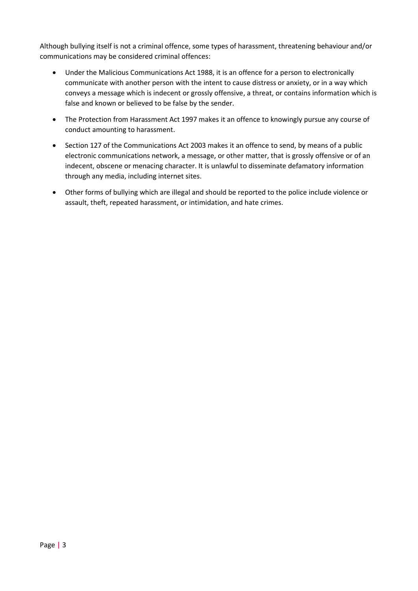Although bullying itself is not a criminal offence, some types of harassment, threatening behaviour and/or communications may be considered criminal offences:

- Under the Malicious Communications Act 1988, it is an offence for a person to electronically communicate with another person with the intent to cause distress or anxiety, or in a way which conveys a message which is indecent or grossly offensive, a threat, or contains information which is false and known or believed to be false by the sender.
- The Protection from Harassment Act 1997 makes it an offence to knowingly pursue any course of conduct amounting to harassment.
- Section 127 of the Communications Act 2003 makes it an offence to send, by means of a public electronic communications network, a message, or other matter, that is grossly offensive or of an indecent, obscene or menacing character. It is unlawful to disseminate defamatory information through any media, including internet sites.
- Other forms of bullying which are illegal and should be reported to the police include violence or assault, theft, repeated harassment, or intimidation, and hate crimes.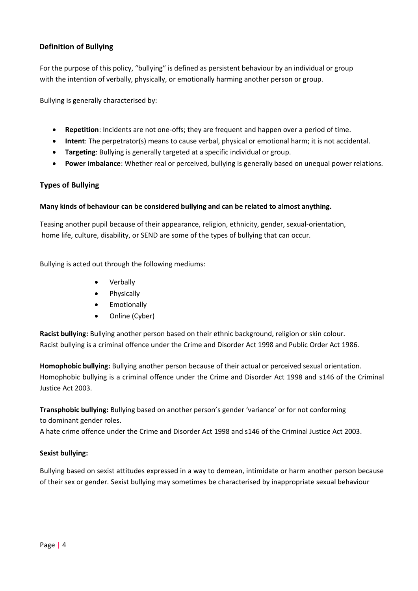# **Definition of Bullying**

For the purpose of this policy, "bullying" is defined as persistent behaviour by an individual or group with the intention of verbally, physically, or emotionally harming another person or group.

Bullying is generally characterised by:

- **Repetition**: Incidents are not one-offs; they are frequent and happen over a period of time.
- **Intent**: The perpetrator(s) means to cause verbal, physical or emotional harm; it is not accidental.
- **Targeting**: Bullying is generally targeted at a specific individual or group.
- **Power imbalance**: Whether real or perceived, bullying is generally based on unequal power relations.

## **Types of Bullying**

## **Many kinds of behaviour can be considered bullying and can be related to almost anything.**

Teasing another pupil because of their appearance, religion, ethnicity, gender, sexual-orientation, home life, culture, disability, or SEND are some of the types of bullying that can occur.

Bullying is acted out through the following mediums:

- Verbally
- **Physically**
- Emotionally
- Online (Cyber)

**Racist bullying:** Bullying another person based on their ethnic background, religion or skin colour. Racist bullying is a criminal offence under the Crime and Disorder Act 1998 and Public Order Act 1986.

**Homophobic bullying:** Bullying another person because of their actual or perceived sexual orientation. Homophobic bullying is a criminal offence under the Crime and Disorder Act 1998 and s146 of the Criminal Justice Act 2003.

**Transphobic bullying:** Bullying based on another person's gender 'variance' or for not conforming to dominant gender roles.

A hate crime offence under the Crime and Disorder Act 1998 and s146 of the Criminal Justice Act 2003.

## **Sexist bullying:**

Bullying based on sexist attitudes expressed in a way to demean, intimidate or harm another person because of their sex or gender. Sexist bullying may sometimes be characterised by inappropriate sexual behaviour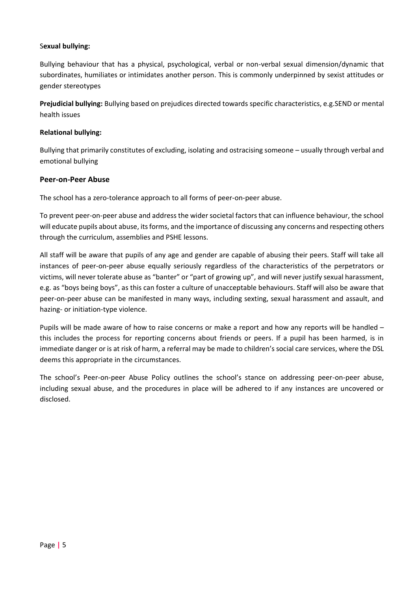## S**exual bullying:**

Bullying behaviour that has a physical, psychological, verbal or non-verbal sexual dimension/dynamic that subordinates, humiliates or intimidates another person. This is commonly underpinned by sexist attitudes or gender stereotypes

**Prejudicial bullying:** Bullying based on prejudices directed towards specific characteristics, e.g.SEND or mental health issues

## **Relational bullying:**

Bullying that primarily constitutes of excluding, isolating and ostracising someone – usually through verbal and emotional bullying

## **Peer-on-Peer Abuse**

The school has a zero-tolerance approach to all forms of peer-on-peer abuse.

To prevent peer-on-peer abuse and address the wider societal factors that can influence behaviour, the school will educate pupils about abuse, its forms, and the importance of discussing any concerns and respecting others through the curriculum, assemblies and PSHE lessons.

All staff will be aware that pupils of any age and gender are capable of abusing their peers. Staff will take all instances of peer-on-peer abuse equally seriously regardless of the characteristics of the perpetrators or victims, will never tolerate abuse as "banter" or "part of growing up", and will never justify sexual harassment, e.g. as "boys being boys", as this can foster a culture of unacceptable behaviours. Staff will also be aware that peer-on-peer abuse can be manifested in many ways, including sexting, sexual harassment and assault, and hazing- or initiation-type violence.

Pupils will be made aware of how to raise concerns or make a report and how any reports will be handled – this includes the process for reporting concerns about friends or peers. If a pupil has been harmed, is in immediate danger or is at risk of harm, a referral may be made to children's social care services, where the DSL deems this appropriate in the circumstances.

The school's Peer-on-peer Abuse Policy outlines the school's stance on addressing peer-on-peer abuse, including sexual abuse, and the procedures in place will be adhered to if any instances are uncovered or disclosed.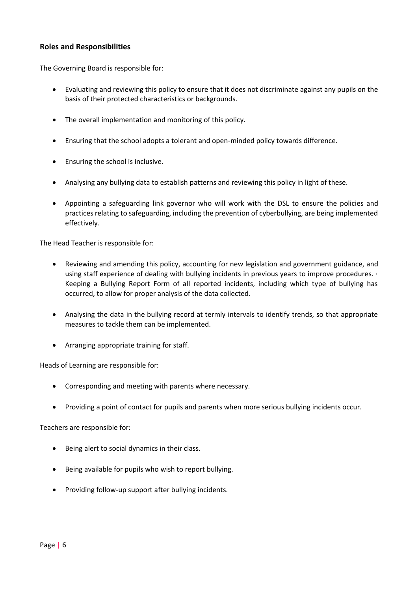## **Roles and Responsibilities**

The Governing Board is responsible for:

- Evaluating and reviewing this policy to ensure that it does not discriminate against any pupils on the basis of their protected characteristics or backgrounds.
- The overall implementation and monitoring of this policy.
- Ensuring that the school adopts a tolerant and open-minded policy towards difference.
- Ensuring the school is inclusive.
- Analysing any bullying data to establish patterns and reviewing this policy in light of these.
- Appointing a safeguarding link governor who will work with the DSL to ensure the policies and practices relating to safeguarding, including the prevention of cyberbullying, are being implemented effectively.

The Head Teacher is responsible for:

- Reviewing and amending this policy, accounting for new legislation and government guidance, and using staff experience of dealing with bullying incidents in previous years to improve procedures. · Keeping a Bullying Report Form of all reported incidents, including which type of bullying has occurred, to allow for proper analysis of the data collected.
- Analysing the data in the bullying record at termly intervals to identify trends, so that appropriate measures to tackle them can be implemented.
- Arranging appropriate training for staff.

Heads of Learning are responsible for:

- Corresponding and meeting with parents where necessary.
- Providing a point of contact for pupils and parents when more serious bullying incidents occur.

Teachers are responsible for:

- Being alert to social dynamics in their class.
- Being available for pupils who wish to report bullying.
- Providing follow-up support after bullying incidents.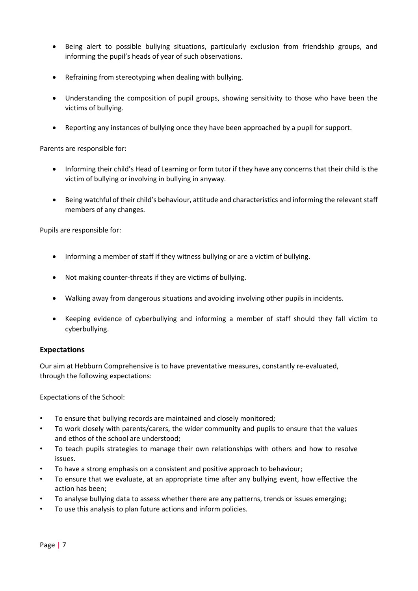- Being alert to possible bullying situations, particularly exclusion from friendship groups, and informing the pupil's heads of year of such observations.
- Refraining from stereotyping when dealing with bullying.
- Understanding the composition of pupil groups, showing sensitivity to those who have been the victims of bullying.
- Reporting any instances of bullying once they have been approached by a pupil for support.

Parents are responsible for:

- Informing their child's Head of Learning or form tutor if they have any concerns that their child is the victim of bullying or involving in bullying in anyway.
- Being watchful of their child's behaviour, attitude and characteristics and informing the relevant staff members of any changes.

Pupils are responsible for:

- Informing a member of staff if they witness bullying or are a victim of bullying.
- Not making counter-threats if they are victims of bullying.
- Walking away from dangerous situations and avoiding involving other pupils in incidents.
- Keeping evidence of cyberbullying and informing a member of staff should they fall victim to cyberbullying.

# **Expectations**

Our aim at Hebburn Comprehensive is to have preventative measures, constantly re-evaluated, through the following expectations:

Expectations of the School:

- To ensure that bullying records are maintained and closely monitored;
- To work closely with parents/carers, the wider community and pupils to ensure that the values and ethos of the school are understood;
- To teach pupils strategies to manage their own relationships with others and how to resolve issues.
- To have a strong emphasis on a consistent and positive approach to behaviour;
- To ensure that we evaluate, at an appropriate time after any bullying event, how effective the action has been;
- To analyse bullying data to assess whether there are any patterns, trends or issues emerging;
- To use this analysis to plan future actions and inform policies.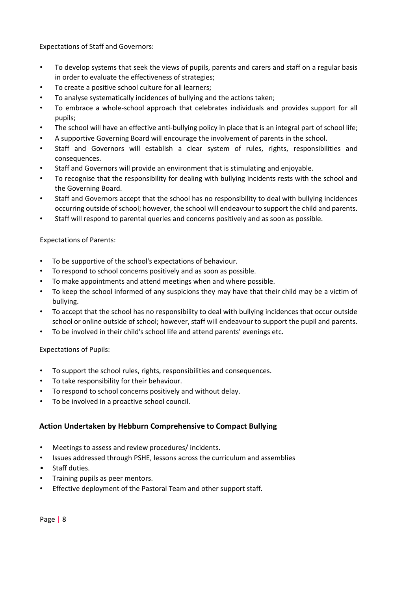Expectations of Staff and Governors:

- To develop systems that seek the views of pupils, parents and carers and staff on a regular basis in order to evaluate the effectiveness of strategies;
- To create a positive school culture for all learners;
- To analyse systematically incidences of bullying and the actions taken;
- To embrace a whole-school approach that celebrates individuals and provides support for all pupils;
- The school will have an effective anti-bullying policy in place that is an integral part of school life;
- A supportive Governing Board will encourage the involvement of parents in the school.
- Staff and Governors will establish a clear system of rules, rights, responsibilities and consequences.
- Staff and Governors will provide an environment that is stimulating and enjoyable.
- To recognise that the responsibility for dealing with bullying incidents rests with the school and the Governing Board.
- Staff and Governors accept that the school has no responsibility to deal with bullying incidences occurring outside of school; however, the school will endeavour to support the child and parents.
- Staff will respond to parental queries and concerns positively and as soon as possible.

# Expectations of Parents:

- To be supportive of the school's expectations of behaviour.
- To respond to school concerns positively and as soon as possible.
- To make appointments and attend meetings when and where possible.
- To keep the school informed of any suspicions they may have that their child may be a victim of bullying.
- To accept that the school has no responsibility to deal with bullying incidences that occur outside school or online outside of school; however, staff will endeavour to support the pupil and parents.
- To be involved in their child's school life and attend parents' evenings etc.

Expectations of Pupils:

- To support the school rules, rights, responsibilities and consequences.
- To take responsibility for their behaviour.
- To respond to school concerns positively and without delay.
- To be involved in a proactive school council.

# **Action Undertaken by Hebburn Comprehensive to Compact Bullying**

- Meetings to assess and review procedures/ incidents.
- Issues addressed through PSHE, lessons across the curriculum and assemblies
- Staff duties.
- Training pupils as peer mentors.
- Effective deployment of the Pastoral Team and other support staff.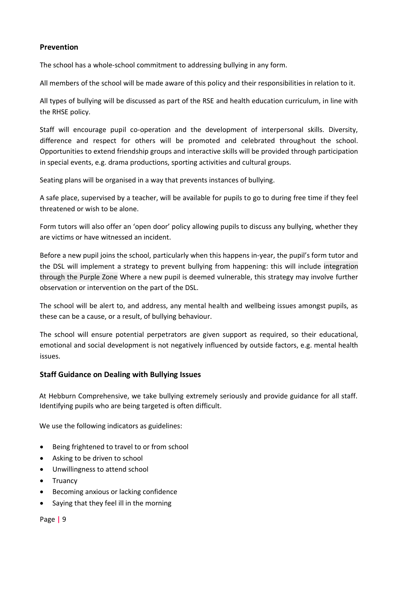## **Prevention**

The school has a whole-school commitment to addressing bullying in any form.

All members of the school will be made aware of this policy and their responsibilities in relation to it.

All types of bullying will be discussed as part of the RSE and health education curriculum, in line with the RHSE policy.

Staff will encourage pupil co-operation and the development of interpersonal skills. Diversity, difference and respect for others will be promoted and celebrated throughout the school. Opportunities to extend friendship groups and interactive skills will be provided through participation in special events, e.g. drama productions, sporting activities and cultural groups.

Seating plans will be organised in a way that prevents instances of bullying.

A safe place, supervised by a teacher, will be available for pupils to go to during free time if they feel threatened or wish to be alone.

Form tutors will also offer an 'open door' policy allowing pupils to discuss any bullying, whether they are victims or have witnessed an incident.

Before a new pupil joins the school, particularly when this happens in-year, the pupil's form tutor and the DSL will implement a strategy to prevent bullying from happening: this will include integration through the Purple Zone Where a new pupil is deemed vulnerable, this strategy may involve further observation or intervention on the part of the DSL.

The school will be alert to, and address, any mental health and wellbeing issues amongst pupils, as these can be a cause, or a result, of bullying behaviour.

The school will ensure potential perpetrators are given support as required, so their educational, emotional and social development is not negatively influenced by outside factors, e.g. mental health issues.

# **Staff Guidance on Dealing with Bullying Issues**

At Hebburn Comprehensive, we take bullying extremely seriously and provide guidance for all staff. Identifying pupils who are being targeted is often difficult.

We use the following indicators as guidelines:

- Being frightened to travel to or from school
- Asking to be driven to school
- Unwillingness to attend school
- Truancy
- Becoming anxious or lacking confidence
- Saying that they feel ill in the morning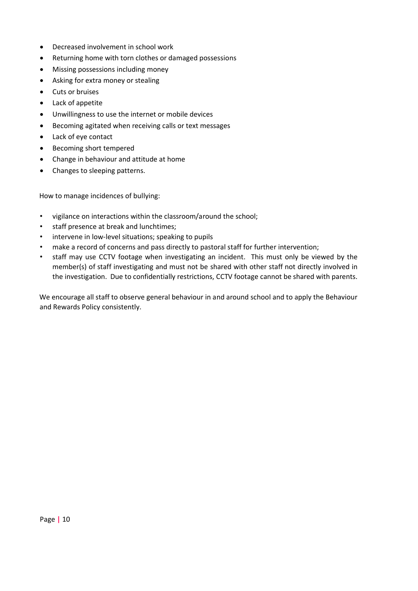- Decreased involvement in school work
- Returning home with torn clothes or damaged possessions
- Missing possessions including money
- Asking for extra money or stealing
- Cuts or bruises
- Lack of appetite
- Unwillingness to use the internet or mobile devices
- Becoming agitated when receiving calls or text messages
- Lack of eye contact
- Becoming short tempered
- Change in behaviour and attitude at home
- Changes to sleeping patterns.

How to manage incidences of bullying:

- vigilance on interactions within the classroom/around the school;
- staff presence at break and lunchtimes;
- intervene in low-level situations; speaking to pupils
- make a record of concerns and pass directly to pastoral staff for further intervention;
- staff may use CCTV footage when investigating an incident. This must only be viewed by the member(s) of staff investigating and must not be shared with other staff not directly involved in the investigation. Due to confidentially restrictions, CCTV footage cannot be shared with parents.

We encourage all staff to observe general behaviour in and around school and to apply the Behaviour and Rewards Policy consistently.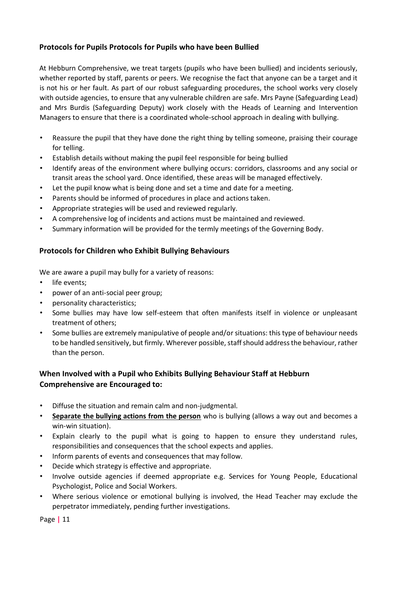# **Protocols for Pupils Protocols for Pupils who have been Bullied**

At Hebburn Comprehensive, we treat targets (pupils who have been bullied) and incidents seriously, whether reported by staff, parents or peers. We recognise the fact that anyone can be a target and it is not his or her fault. As part of our robust safeguarding procedures, the school works very closely with outside agencies, to ensure that any vulnerable children are safe. Mrs Payne (Safeguarding Lead) and Mrs Burdis (Safeguarding Deputy) work closely with the Heads of Learning and Intervention Managers to ensure that there is a coordinated whole-school approach in dealing with bullying.

- Reassure the pupil that they have done the right thing by telling someone, praising their courage for telling.
- Establish details without making the pupil feel responsible for being bullied
- Identify areas of the environment where bullying occurs: corridors, classrooms and any social or transit areas the school yard. Once identified, these areas will be managed effectively.
- Let the pupil know what is being done and set a time and date for a meeting.
- Parents should be informed of procedures in place and actions taken.
- Appropriate strategies will be used and reviewed regularly.
- A comprehensive log of incidents and actions must be maintained and reviewed.
- Summary information will be provided for the termly meetings of the Governing Body.

# **Protocols for Children who Exhibit Bullying Behaviours**

We are aware a pupil may bully for a variety of reasons:

- life events;
- power of an anti-social peer group;
- personality characteristics;
- Some bullies may have low self-esteem that often manifests itself in violence or unpleasant treatment of others;
- Some bullies are extremely manipulative of people and/or situations: this type of behaviour needs to be handled sensitively, but firmly. Wherever possible, staff should address the behaviour, rather than the person.

# **When Involved with a Pupil who Exhibits Bullying Behaviour Staff at Hebburn Comprehensive are Encouraged to:**

- Diffuse the situation and remain calm and non-judgmental.
- **Separate the bullying actions from the person** who is bullying (allows a way out and becomes a win-win situation).
- Explain clearly to the pupil what is going to happen to ensure they understand rules, responsibilities and consequences that the school expects and applies.
- Inform parents of events and consequences that may follow.
- Decide which strategy is effective and appropriate.
- Involve outside agencies if deemed appropriate e.g. Services for Young People, Educational Psychologist, Police and Social Workers.
- Where serious violence or emotional bullying is involved, the Head Teacher may exclude the perpetrator immediately, pending further investigations.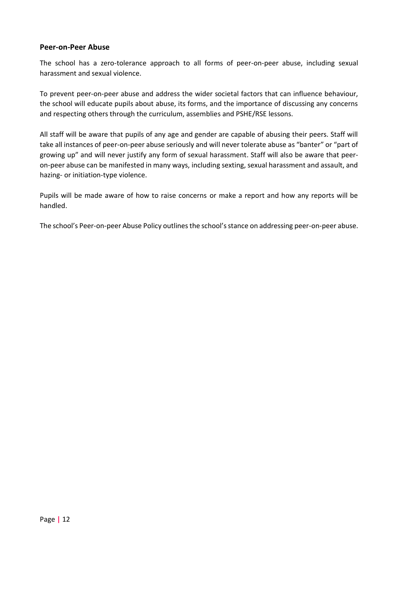## **Peer-on-Peer Abuse**

The school has a zero-tolerance approach to all forms of peer-on-peer abuse, including sexual harassment and sexual violence.

To prevent peer-on-peer abuse and address the wider societal factors that can influence behaviour, the school will educate pupils about abuse, its forms, and the importance of discussing any concerns and respecting others through the curriculum, assemblies and PSHE/RSE lessons.

All staff will be aware that pupils of any age and gender are capable of abusing their peers. Staff will take all instances of peer-on-peer abuse seriously and will never tolerate abuse as "banter" or "part of growing up" and will never justify any form of sexual harassment. Staff will also be aware that peeron-peer abuse can be manifested in many ways, including sexting, sexual harassment and assault, and hazing- or initiation-type violence.

Pupils will be made aware of how to raise concerns or make a report and how any reports will be handled.

The school's Peer-on-peer Abuse Policy outlines the school's stance on addressing peer-on-peer abuse.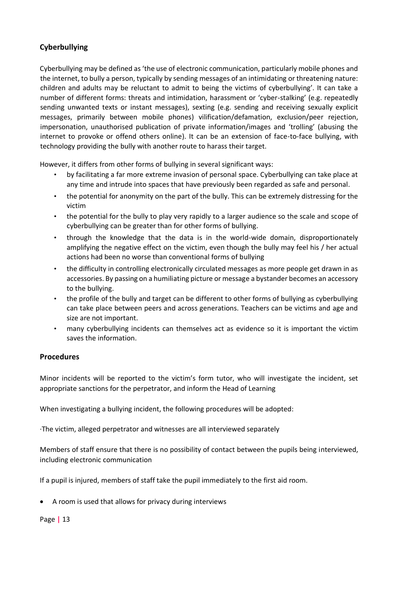# **Cyberbullying**

Cyberbullying may be defined as 'the use of electronic communication, particularly mobile phones and the internet, to bully a person, typically by sending messages of an intimidating or threatening nature: children and adults may be reluctant to admit to being the victims of cyberbullying'. It can take a number of different forms: threats and intimidation, harassment or 'cyber-stalking' (e.g. repeatedly sending unwanted texts or instant messages), sexting (e.g. sending and receiving sexually explicit messages, primarily between mobile phones) vilification/defamation, exclusion/peer rejection, impersonation, unauthorised publication of private information/images and 'trolling' (abusing the internet to provoke or offend others online). It can be an extension of face-to-face bullying, with technology providing the bully with another route to harass their target.

However, it differs from other forms of bullying in several significant ways:

- by facilitating a far more extreme invasion of personal space. Cyberbullying can take place at any time and intrude into spaces that have previously been regarded as safe and personal.
- the potential for anonymity on the part of the bully. This can be extremely distressing for the victim
- the potential for the bully to play very rapidly to a larger audience so the scale and scope of cyberbullying can be greater than for other forms of bullying.
- through the knowledge that the data is in the world-wide domain, disproportionately amplifying the negative effect on the victim, even though the bully may feel his / her actual actions had been no worse than conventional forms of bullying
- the difficulty in controlling electronically circulated messages as more people get drawn in as accessories. By passing on a humiliating picture or message a bystander becomes an accessory to the bullying.
- the profile of the bully and target can be different to other forms of bullying as cyberbullying can take place between peers and across generations. Teachers can be victims and age and size are not important.
- many cyberbullying incidents can themselves act as evidence so it is important the victim saves the information.

# **Procedures**

Minor incidents will be reported to the victim's form tutor, who will investigate the incident, set appropriate sanctions for the perpetrator, and inform the Head of Learning

When investigating a bullying incident, the following procedures will be adopted:

·The victim, alleged perpetrator and witnesses are all interviewed separately

Members of staff ensure that there is no possibility of contact between the pupils being interviewed, including electronic communication

If a pupil is injured, members of staff take the pupil immediately to the first aid room.

• A room is used that allows for privacy during interviews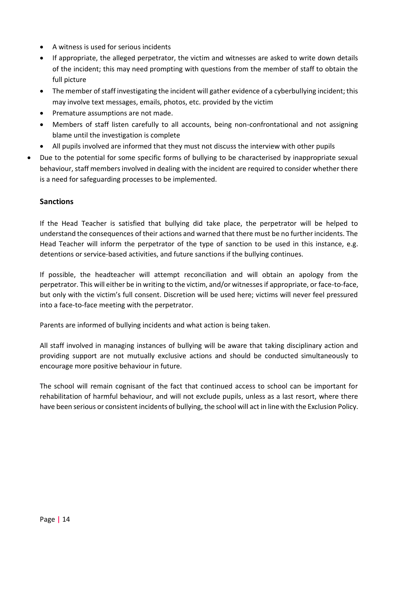- A witness is used for serious incidents
- If appropriate, the alleged perpetrator, the victim and witnesses are asked to write down details of the incident; this may need prompting with questions from the member of staff to obtain the full picture
- The member of staff investigating the incident will gather evidence of a cyberbullying incident; this may involve text messages, emails, photos, etc. provided by the victim
- Premature assumptions are not made.
- Members of staff listen carefully to all accounts, being non-confrontational and not assigning blame until the investigation is complete
- All pupils involved are informed that they must not discuss the interview with other pupils
- Due to the potential for some specific forms of bullying to be characterised by inappropriate sexual behaviour, staff members involved in dealing with the incident are required to consider whether there is a need for safeguarding processes to be implemented.

# **Sanctions**

If the Head Teacher is satisfied that bullying did take place, the perpetrator will be helped to understand the consequences of their actions and warned that there must be no further incidents. The Head Teacher will inform the perpetrator of the type of sanction to be used in this instance, e.g. detentions or service-based activities, and future sanctions if the bullying continues.

If possible, the headteacher will attempt reconciliation and will obtain an apology from the perpetrator. This will either be in writing to the victim, and/or witnesses if appropriate, or face-to-face, but only with the victim's full consent. Discretion will be used here; victims will never feel pressured into a face-to-face meeting with the perpetrator.

Parents are informed of bullying incidents and what action is being taken.

All staff involved in managing instances of bullying will be aware that taking disciplinary action and providing support are not mutually exclusive actions and should be conducted simultaneously to encourage more positive behaviour in future.

The school will remain cognisant of the fact that continued access to school can be important for rehabilitation of harmful behaviour, and will not exclude pupils, unless as a last resort, where there have been serious or consistent incidents of bullying, the school will act in line with the Exclusion Policy.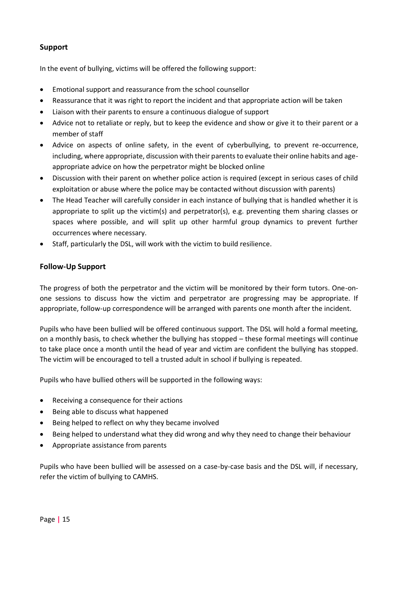# **Support**

In the event of bullying, victims will be offered the following support:

- Emotional support and reassurance from the school counsellor
- Reassurance that it was right to report the incident and that appropriate action will be taken
- Liaison with their parents to ensure a continuous dialogue of support
- Advice not to retaliate or reply, but to keep the evidence and show or give it to their parent or a member of staff
- Advice on aspects of online safety, in the event of cyberbullying, to prevent re-occurrence, including, where appropriate, discussion with their parents to evaluate their online habits and ageappropriate advice on how the perpetrator might be blocked online
- Discussion with their parent on whether police action is required (except in serious cases of child exploitation or abuse where the police may be contacted without discussion with parents)
- The Head Teacher will carefully consider in each instance of bullying that is handled whether it is appropriate to split up the victim(s) and perpetrator(s), e.g. preventing them sharing classes or spaces where possible, and will split up other harmful group dynamics to prevent further occurrences where necessary.
- Staff, particularly the DSL, will work with the victim to build resilience.

# **Follow-Up Support**

The progress of both the perpetrator and the victim will be monitored by their form tutors. One-onone sessions to discuss how the victim and perpetrator are progressing may be appropriate. If appropriate, follow-up correspondence will be arranged with parents one month after the incident.

Pupils who have been bullied will be offered continuous support. The DSL will hold a formal meeting, on a monthly basis, to check whether the bullying has stopped – these formal meetings will continue to take place once a month until the head of year and victim are confident the bullying has stopped. The victim will be encouraged to tell a trusted adult in school if bullying is repeated.

Pupils who have bullied others will be supported in the following ways:

- Receiving a consequence for their actions
- Being able to discuss what happened
- Being helped to reflect on why they became involved
- Being helped to understand what they did wrong and why they need to change their behaviour
- Appropriate assistance from parents

Pupils who have been bullied will be assessed on a case-by-case basis and the DSL will, if necessary, refer the victim of bullying to CAMHS.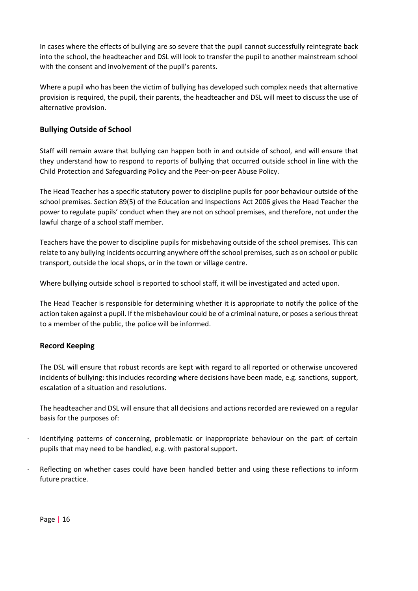In cases where the effects of bullying are so severe that the pupil cannot successfully reintegrate back into the school, the headteacher and DSL will look to transfer the pupil to another mainstream school with the consent and involvement of the pupil's parents.

Where a pupil who has been the victim of bullying has developed such complex needs that alternative provision is required, the pupil, their parents, the headteacher and DSL will meet to discuss the use of alternative provision.

# **Bullying Outside of School**

Staff will remain aware that bullying can happen both in and outside of school, and will ensure that they understand how to respond to reports of bullying that occurred outside school in line with the Child Protection and Safeguarding Policy and the Peer-on-peer Abuse Policy.

The Head Teacher has a specific statutory power to discipline pupils for poor behaviour outside of the school premises. Section 89(5) of the Education and Inspections Act 2006 gives the Head Teacher the power to regulate pupils' conduct when they are not on school premises, and therefore, not under the lawful charge of a school staff member.

Teachers have the power to discipline pupils for misbehaving outside of the school premises. This can relate to any bullying incidents occurring anywhere off the school premises, such as on school or public transport, outside the local shops, or in the town or village centre.

Where bullying outside school is reported to school staff, it will be investigated and acted upon.

The Head Teacher is responsible for determining whether it is appropriate to notify the police of the action taken against a pupil. If the misbehaviour could be of a criminal nature, or poses a serious threat to a member of the public, the police will be informed.

# **Record Keeping**

The DSL will ensure that robust records are kept with regard to all reported or otherwise uncovered incidents of bullying: this includes recording where decisions have been made, e.g. sanctions, support, escalation of a situation and resolutions.

The headteacher and DSL will ensure that all decisions and actions recorded are reviewed on a regular basis for the purposes of:

- Identifying patterns of concerning, problematic or inappropriate behaviour on the part of certain pupils that may need to be handled, e.g. with pastoral support.
- Reflecting on whether cases could have been handled better and using these reflections to inform future practice.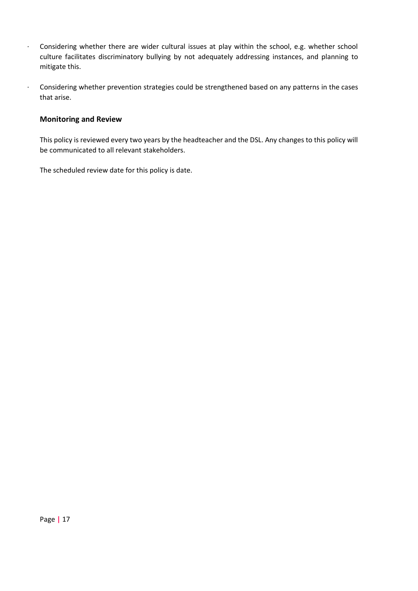- · Considering whether there are wider cultural issues at play within the school, e.g. whether school culture facilitates discriminatory bullying by not adequately addressing instances, and planning to mitigate this.
- · Considering whether prevention strategies could be strengthened based on any patterns in the cases that arise.

# **Monitoring and Review**

This policy is reviewed every two years by the headteacher and the DSL. Any changes to this policy will be communicated to all relevant stakeholders.

The scheduled review date for this policy is date.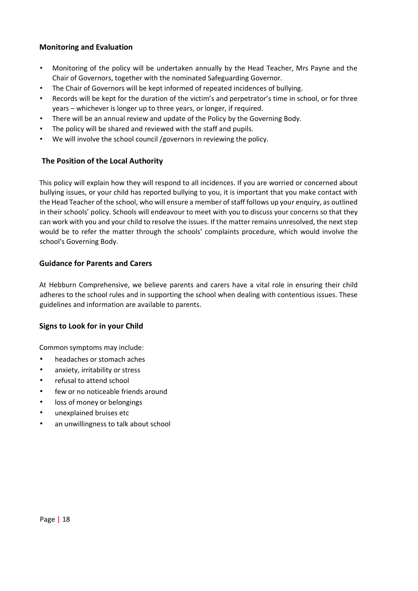# **Monitoring and Evaluation**

- Monitoring of the policy will be undertaken annually by the Head Teacher, Mrs Payne and the Chair of Governors, together with the nominated Safeguarding Governor.
- The Chair of Governors will be kept informed of repeated incidences of bullying.
- Records will be kept for the duration of the victim's and perpetrator's time in school, or for three years – whichever is longer up to three years, or longer, if required.
- There will be an annual review and update of the Policy by the Governing Body.
- The policy will be shared and reviewed with the staff and pupils.
- We will involve the school council /governors in reviewing the policy.

# **The Position of the Local Authority**

This policy will explain how they will respond to all incidences. If you are worried or concerned about bullying issues, or your child has reported bullying to you, it is important that you make contact with the Head Teacher of the school, who will ensure a member of staff follows up your enquiry, as outlined in their schools' policy. Schools will endeavour to meet with you to discuss your concerns so that they can work with you and your child to resolve the issues. If the matter remains unresolved, the next step would be to refer the matter through the schools' complaints procedure, which would involve the school's Governing Body.

# **Guidance for Parents and Carers**

At Hebburn Comprehensive, we believe parents and carers have a vital role in ensuring their child adheres to the school rules and in supporting the school when dealing with contentious issues. These guidelines and information are available to parents.

# **Signs to Look for in your Child**

Common symptoms may include:

- headaches or stomach aches
- anxiety, irritability or stress
- refusal to attend school
- few or no noticeable friends around
- loss of money or belongings
- unexplained bruises etc
- an unwillingness to talk about school